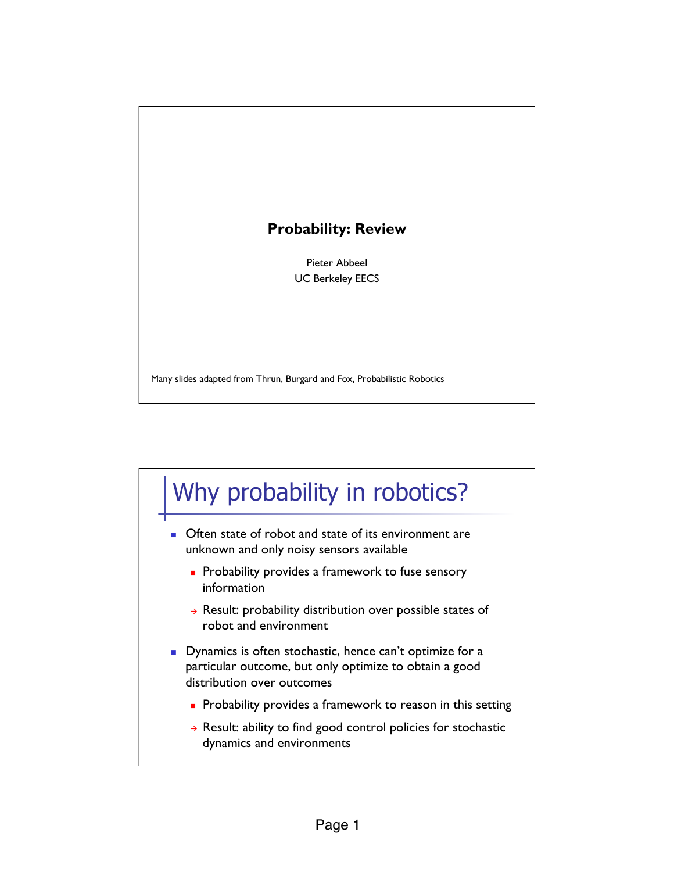#### **Probability: Review**

Pieter Abbeel UC Berkeley EECS

Many slides adapted from Thrun, Burgard and Fox, Probabilistic Robotics

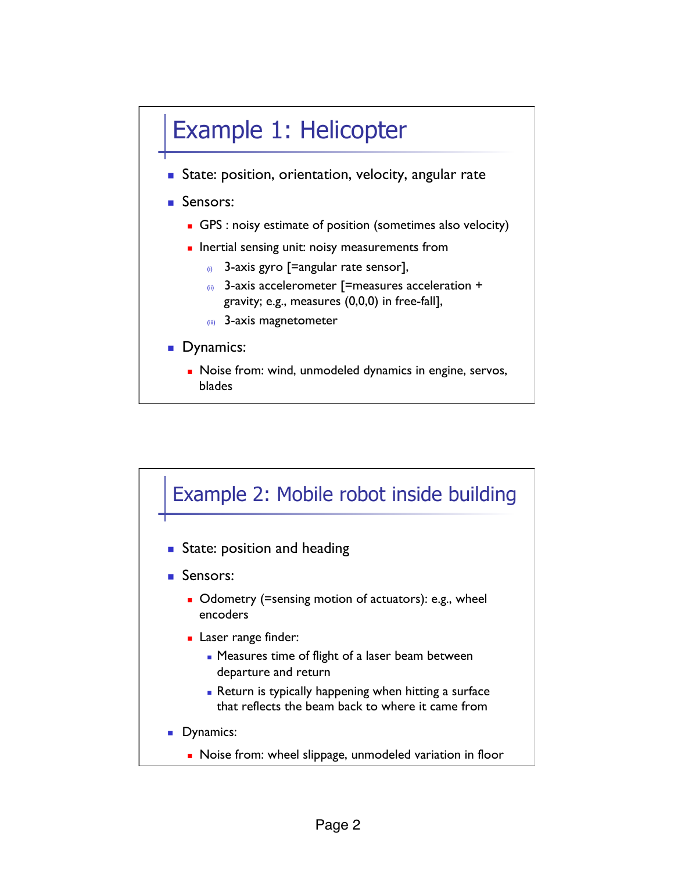

blades

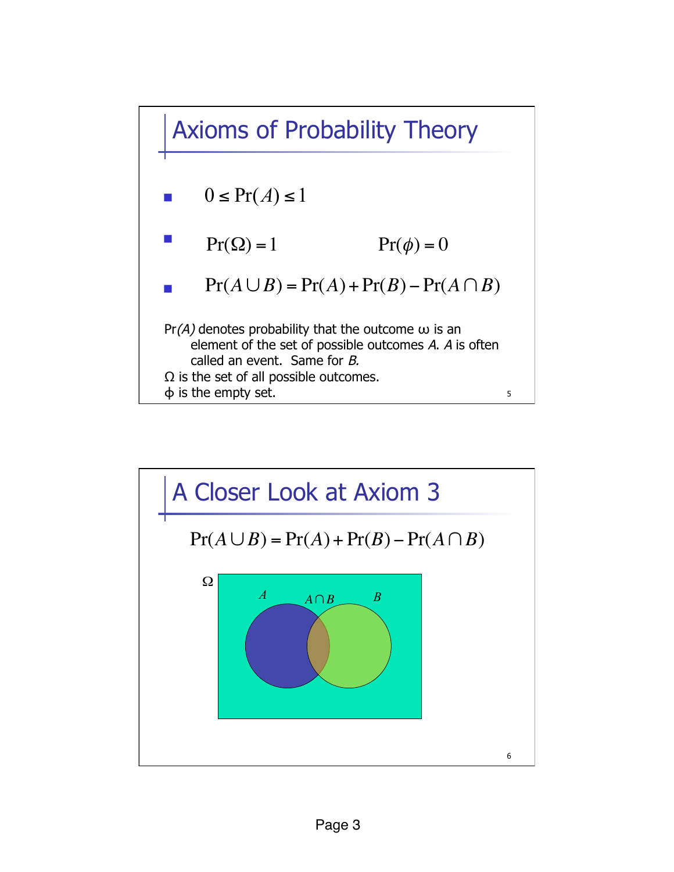Axioms of Probability Theory



- !  $Pr(\Omega) = 1$  $Pr(\phi) = 0$
- !  $Pr(A \cup B) = Pr(A) + Pr(B) - Pr(A \cap B)$

 $Pr(A)$  denotes probability that the outcome  $\omega$  is an element of the set of possible outcomes A. A is often called an event. Same for B.  $\Omega$  is the set of all possible outcomes. ϕ is the empty set.

5

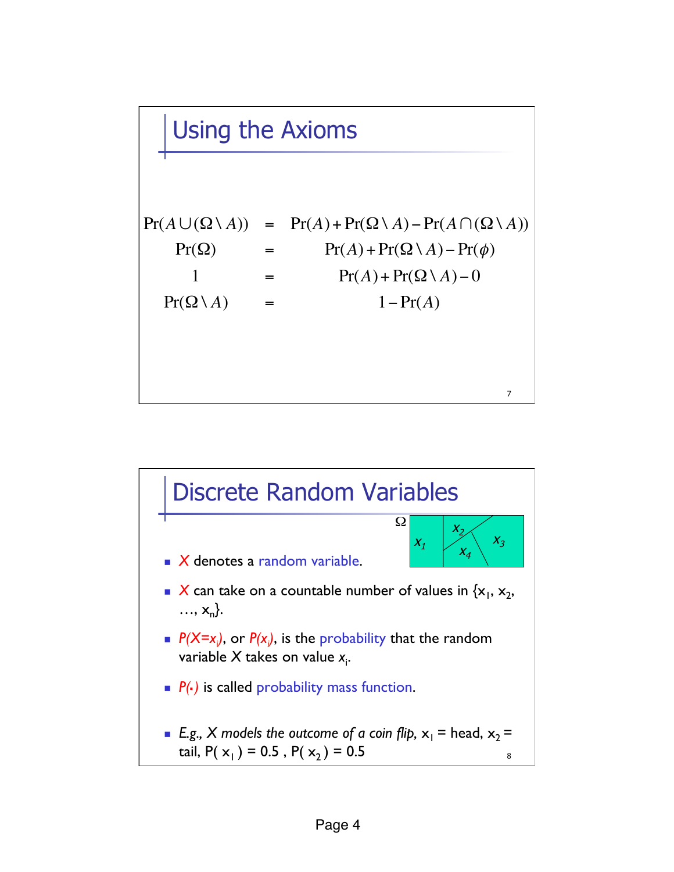## Using the Axioms

7  $Pr(A \cup (\Omega \setminus A))$  =  $Pr(A) + Pr(\Omega \setminus A) - Pr(A \cap (\Omega \setminus A))$  $Pr(\Omega)$  =  $Pr(A) + Pr(\Omega \setminus A) - Pr(\phi)$ 1 =  $\Pr(A) + \Pr(\Omega \setminus A) - 0$  $Pr(\Omega \setminus A)$  = 1- $Pr(A)$ 

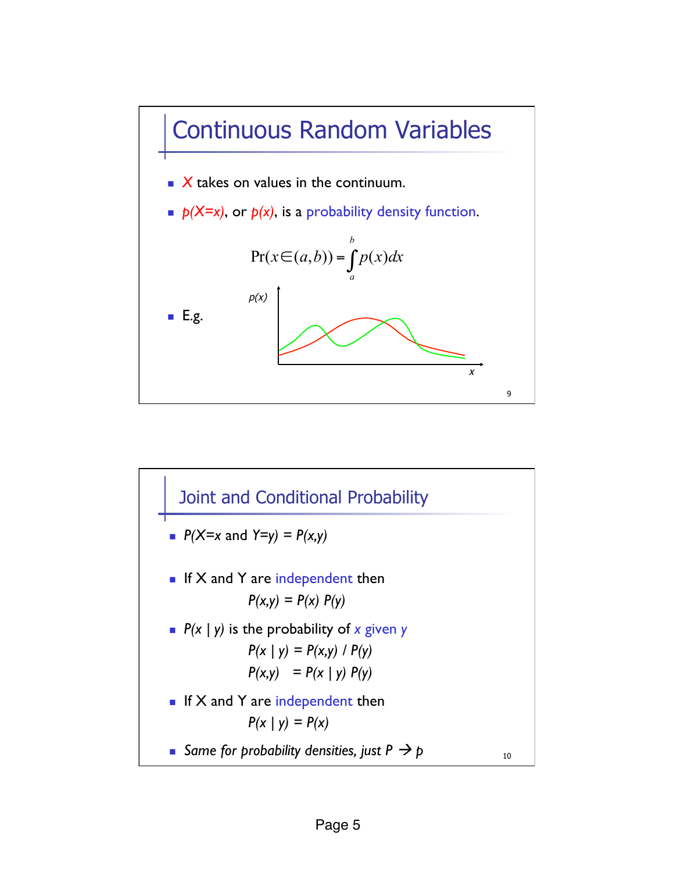

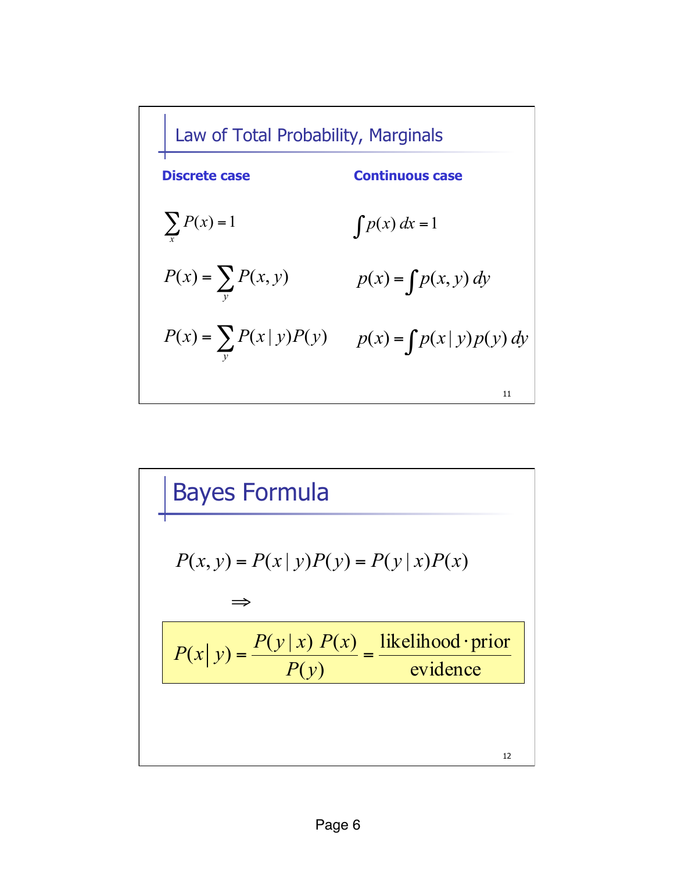| Law of Total Probability, Marginals |                                                              |
|-------------------------------------|--------------------------------------------------------------|
| <b>Discrete case</b>                | <b>Continuous case</b>                                       |
| $\sum P(x) = 1$                     | $\int p(x) dx = 1$                                           |
| $P(x) = \sum_{y} P(x, y)$           | $p(x) = \int p(x, y) dy$                                     |
|                                     | $P(x) = \sum_{y} P(x   y)P(y)$ $p(x) = \int p(x   y)p(y) dy$ |
|                                     | 11                                                           |

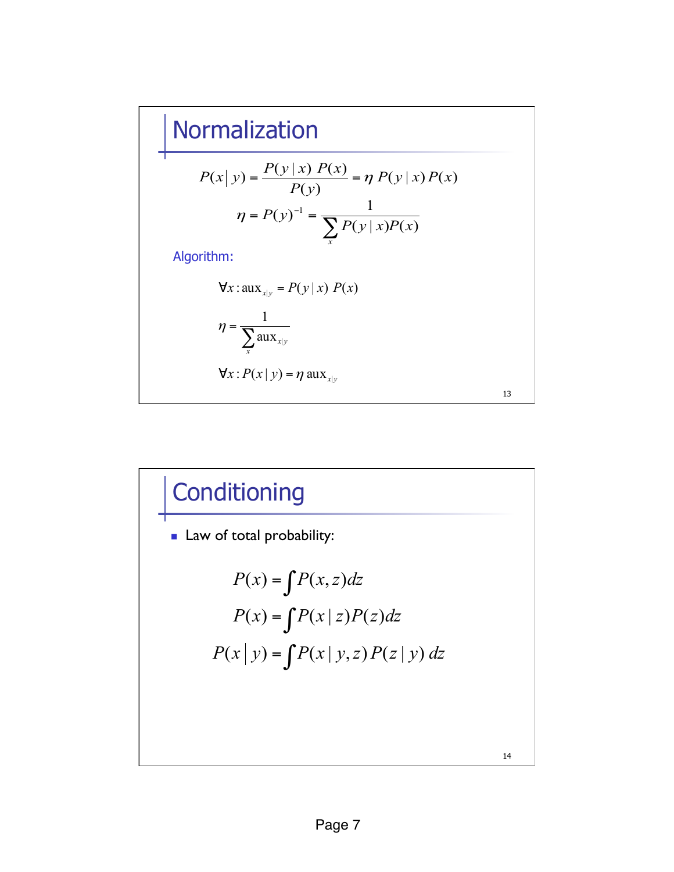### Normalization

$$
P(x | y) = \frac{P(y | x) P(x)}{P(y)} = \eta P(y | x) P(x)
$$

$$
\eta = P(y)^{-1} = \frac{1}{\sum_{x} P(y | x) P(x)}
$$

|

Algorithm:

 $\forall x : \text{aux}_{x|y} = P(y | x) P(x)$ 

$$
\eta = \frac{1}{\sum_{x} \text{aux}_{x|y}}
$$

 $\forall x : P(x | y) = \eta \text{ aux}_{x | y}$ 



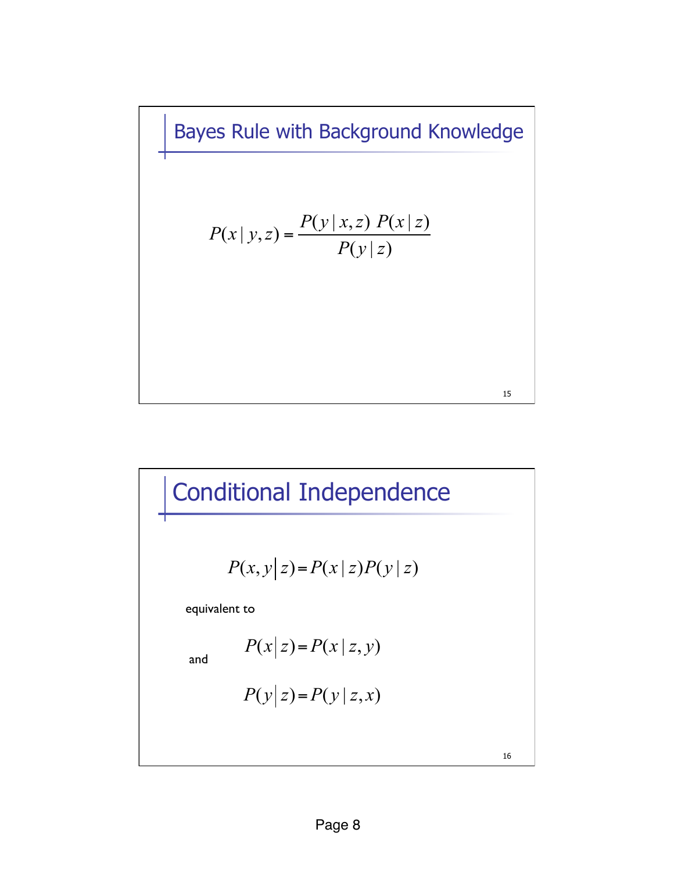Bayes Rule with Background Knowledge

$$
P(x | y, z) = \frac{P(y | x, z) P(x | z)}{P(y | z)}
$$



16

15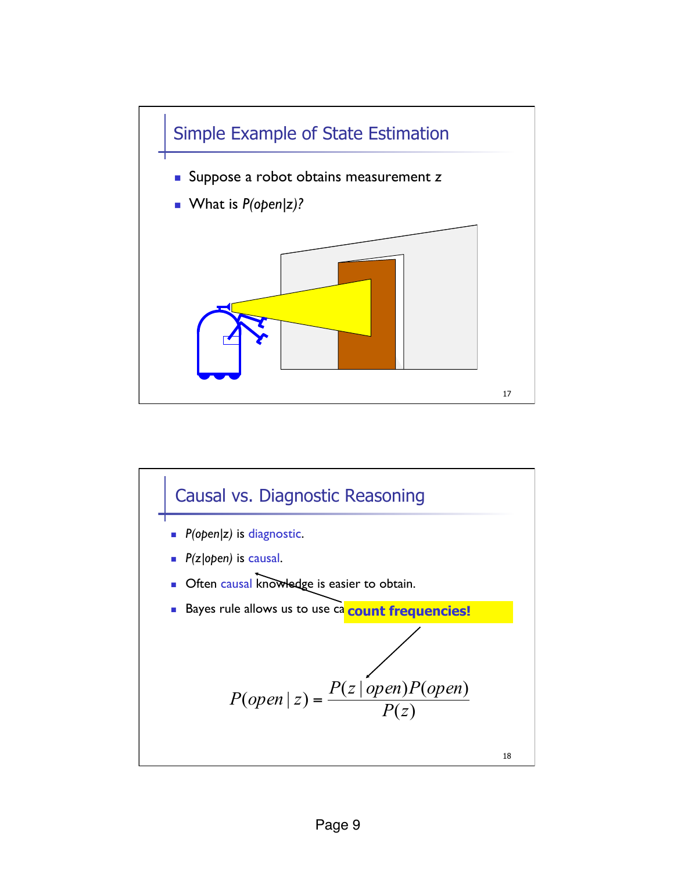

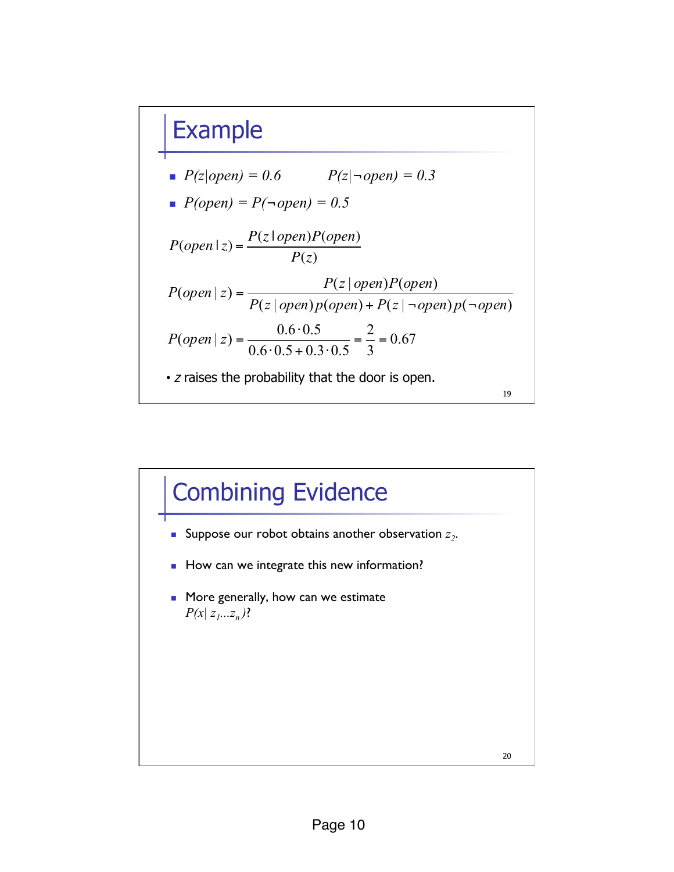#### Example



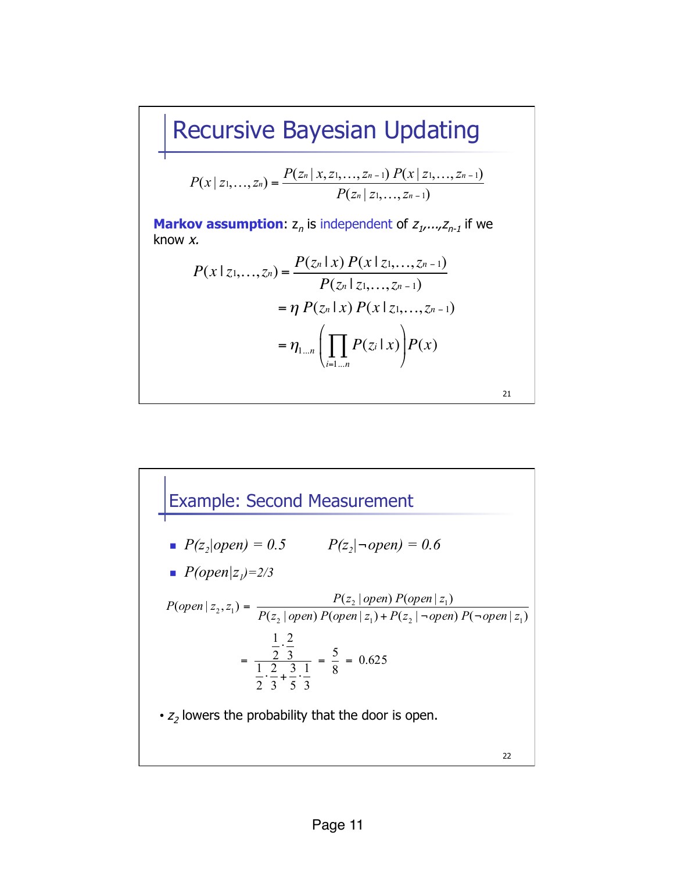# Recursive Bayesian Updating

$$
P(x \mid z_1,..., z_n) = \frac{P(z_n \mid x, z_1,..., z_{n-1}) P(x \mid z_1,..., z_{n-1})}{P(z_n \mid z_1,..., z_{n-1})}
$$

**Markov assumption:**  $z_n$  is independent of  $z_1, \ldots, z_{n-1}$  if we know *x.* 

$$
P(x \mid z_1, ..., z_n) = \frac{P(z_n \mid x) P(x \mid z_1, ..., z_{n-1})}{P(z_n \mid z_1, ..., z_{n-1})}
$$
  
=  $\eta P(z_n \mid x) P(x \mid z_1, ..., z_{n-1})$   
=  $\eta_{1...n} \left( \prod_{i=1...n} P(z_i \mid x) \right) P(x)$ 

21

**Example: Second Measurement**  
\n• 
$$
P(z_2|open) = 0.5
$$
  $P(z_2|\neg open) = 0.6$   
\n•  $P(open|z_1)=2/3$   
\n $P(open|z_2,z_1) = \frac{P(z_2|open) P(open|z_1)}{P(z_2|open) P(open|z_1) + P(z_2|¬open) P(¬open|z_1)}$   
\n
$$
= \frac{\frac{1}{2} \cdot \frac{2}{3}}{\frac{1}{2} \cdot \frac{2}{3} + \frac{3}{5} \cdot \frac{1}{3}} = \frac{5}{8} = 0.625
$$
  
\n•  $z_2$  lowers the probability that the door is open.